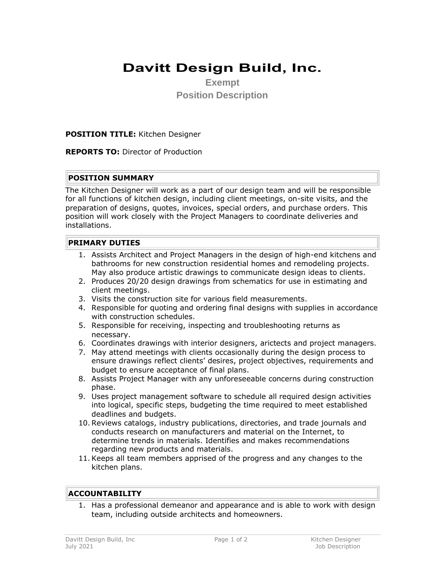# **Davitt Design Build, Inc.**

**Exempt Position Description**

#### **POSITION TITLE:** Kitchen Designer

**REPORTS TO:** Director of Production

#### **POSITION SUMMARY**

The Kitchen Designer will work as a part of our design team and will be responsible for all functions of kitchen design, including client meetings, on-site visits, and the preparation of designs, quotes, invoices, special orders, and purchase orders. This position will work closely with the Project Managers to coordinate deliveries and installations.

#### **PRIMARY DUTIES**

- 1. Assists Architect and Project Managers in the design of high-end kitchens and bathrooms for new construction residential homes and remodeling projects. May also produce artistic drawings to communicate design ideas to clients.
- 2. Produces 20/20 design drawings from schematics for use in estimating and client meetings.
- 3. Visits the construction site for various field measurements.
- 4. Responsible for quoting and ordering final designs with supplies in accordance with construction schedules.
- 5. Responsible for receiving, inspecting and troubleshooting returns as necessary.
- 6. Coordinates drawings with interior designers, arictects and project managers.
- 7. May attend meetings with clients occasionally during the design process to ensure drawings reflect clients' desires, project objectives, requirements and budget to ensure acceptance of final plans.
- 8. Assists Project Manager with any unforeseeable concerns during construction phase.
- 9. Uses project management software to schedule all required design activities into logical, specific steps, budgeting the time required to meet established deadlines and budgets.
- 10. Reviews catalogs, industry publications, directories, and trade journals and conducts research on manufacturers and material on the Internet, to determine trends in materials. Identifies and makes recommendations regarding new products and materials.
- 11. Keeps all team members apprised of the progress and any changes to the kitchen plans.

### **ACCOUNTABILITY**

1. Has a professional demeanor and appearance and is able to work with design team, including outside architects and homeowners.